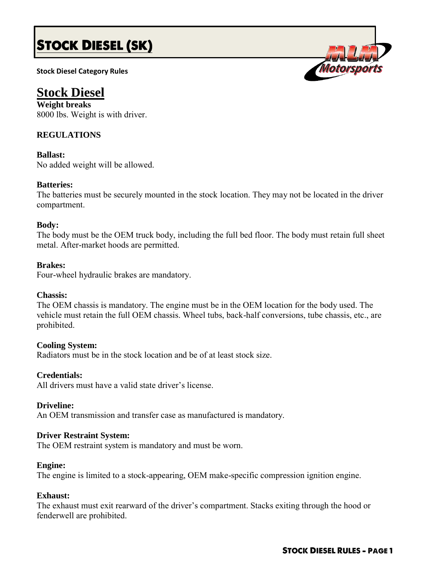# **STOCK DIESEL (SK)**

**Stock Diesel Category Rules**

# **Stock Diesel**

**Weight breaks** 8000 lbs. Weight is with driver.

# **REGULATIONS**

**Ballast:** No added weight will be allowed.

# **Batteries:**

The batteries must be securely mounted in the stock location. They may not be located in the driver compartment.

## **Body:**

The body must be the OEM truck body, including the full bed floor. The body must retain full sheet metal. After-market hoods are permitted.

#### **Brakes:**

Four-wheel hydraulic brakes are mandatory.

#### **Chassis:**

The OEM chassis is mandatory. The engine must be in the OEM location for the body used. The vehicle must retain the full OEM chassis. Wheel tubs, back-half conversions, tube chassis, etc., are prohibited.

# **Cooling System:**

Radiators must be in the stock location and be of at least stock size.

#### **Credentials:**

All drivers must have a valid state driver's license.

#### **Driveline:**

An OEM transmission and transfer case as manufactured is mandatory.

#### **Driver Restraint System:**

The OEM restraint system is mandatory and must be worn.

#### **Engine:**

The engine is limited to a stock-appearing, OEM make-specific compression ignition engine.

### **Exhaust:**

The exhaust must exit rearward of the driver's compartment. Stacks exiting through the hood or fenderwell are prohibited.

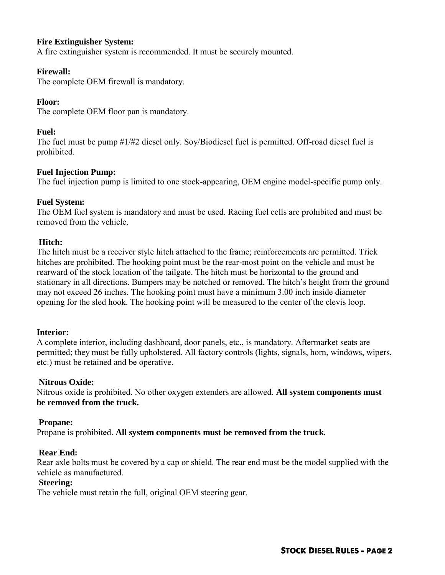#### **Fire Extinguisher System:**

A fire extinguisher system is recommended. It must be securely mounted.

#### **Firewall:**

The complete OEM firewall is mandatory.

#### **Floor:**

The complete OEM floor pan is mandatory.

#### **Fuel:**

The fuel must be pump #1/#2 diesel only. Soy/Biodiesel fuel is permitted. Off-road diesel fuel is prohibited.

#### **Fuel Injection Pump:**

The fuel injection pump is limited to one stock-appearing, OEM engine model-specific pump only.

#### **Fuel System:**

The OEM fuel system is mandatory and must be used. Racing fuel cells are prohibited and must be removed from the vehicle.

#### **Hitch:**

The hitch must be a receiver style hitch attached to the frame; reinforcements are permitted. Trick hitches are prohibited. The hooking point must be the rear-most point on the vehicle and must be rearward of the stock location of the tailgate. The hitch must be horizontal to the ground and stationary in all directions. Bumpers may be notched or removed. The hitch's height from the ground may not exceed 26 inches. The hooking point must have a minimum 3.00 inch inside diameter opening for the sled hook. The hooking point will be measured to the center of the clevis loop.

#### **Interior:**

A complete interior, including dashboard, door panels, etc., is mandatory. Aftermarket seats are permitted; they must be fully upholstered. All factory controls (lights, signals, horn, windows, wipers, etc.) must be retained and be operative.

#### **Nitrous Oxide:**

Nitrous oxide is prohibited. No other oxygen extenders are allowed. **All system components must be removed from the truck.**

#### **Propane:**

Propane is prohibited. **All system components must be removed from the truck.**

#### **Rear End:**

Rear axle bolts must be covered by a cap or shield. The rear end must be the model supplied with the vehicle as manufactured.

#### **Steering:**

The vehicle must retain the full, original OEM steering gear.